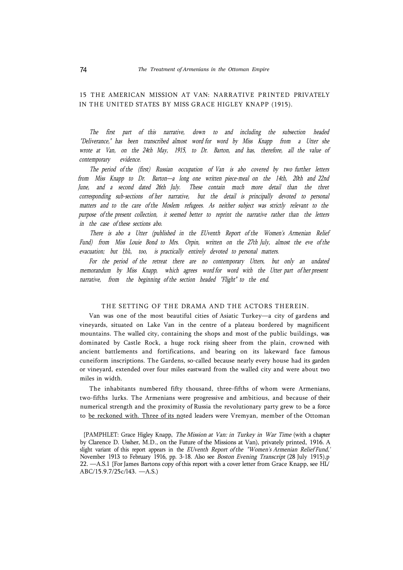# 15 THE AMERICAN MISSION AT VAN: NARRATIVE PRINTED PRIVATELY IN THE UNITED STATES BY MISS GRACE HIGLEY KNAPP (1915).

*The first part of this narrative, down to and including the subsection headed "Deliverance," has been transcribed almost word for word by Miss Knapp from a Utter she wrote at Van, on the 24th May, 1915, to Dr. Barton, and has, therefore, all the value of contemporary evidence.* 

*The period of the (first) Russian occupation of Van is abo covered by two further letters from Miss Knapp to Dr. Barton—a long one written piece-meal on the 14th, 20th and 22nd*  June, and a second dated 26th July. These contain much more detail than the thret *corresponding sub-sections of her narrative, but the detail is principally devoted to personal matters and to the care of the Moslem refugees. As neither subject was strictly relevant to the purpose of the present collection, it seemed better to reprint the narrative rather than the letters in the case of these sections abo.* 

*There is abo a Utter (published in the EUventh Report of the Women's Armenian Relief Fund) from Miss Louie Bond to Mrs. Orpin, written on the 27th July, almost the eve of the evacuation; but էհե, too, is practically entirely devoted to personal matters.* 

For the period of the retreat there are no contemporary Utters, but only an undated *memorandum by Miss Knapp, which agrees word for word with the Utter part of her present narrative, from the beginning of the section headed "Flight" to the end.* 

# THE SETTING OF THE DRAMA AND THE ACTORS THEREIN.

Van was one of the most beautiful cities of Asiatic Turkey—a city of gardens and vineyards, situated on Lake Van in the centre of a plateau bordered by magnificent mountains. The walled city, containing the shops and most of the public buildings, was dominated by Castle Rock, a huge rock rising sheer from the plain, crowned with ancient battlements and fortifications, and bearing on its lakeward face famous cuneiform inscriptions. The Gardens, so-called because nearly every house had its garden or vineyard, extended over four miles eastward from the walled city and were about two miles in width.

The inhabitants numbered fifty thousand, three-fifths of whom were Armenians, two-fifths lurks. The Armenians were progressive and ambitious, and because of their numerical strength and the proximity of Russia the revolutionary party grew to be a force to be reckoned with. Three of its noted leaders were Vremyan, member of the Ottoman

<sup>{</sup>PAMPHLET: Grace Higley Knapp, *The Mission at Van: in Turkey in War Time* (with a chapter by Clarence D. Ussher, M.D., on the Future of the Missions at Van), privately printed, 1916. A slight variant of this report appears in the *EUventh Report of the "Women's Armenian Relief Fund,'*  November 1913 to February 1916, pp. 3-18. Also see *Boston Evening Transcript* (28 July 1915),p 22. —A.S.1 {For James Bartons copy of this report with a cover letter from Grace Knapp, see HL/ ABC/15.9.7/25c/l43. —A.S.)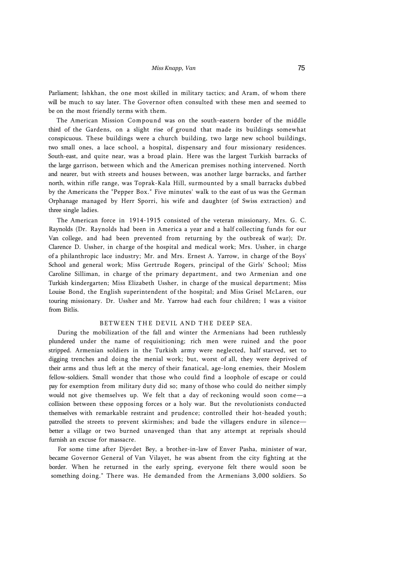Parliament; Ishkhan, the one most skilled in military tactics; and Aram, of whom there will be much to say later. The Governor often consulted with these men and seemed to be on the most friendly terms with them.

The American Mission Compound was on the south-eastern border of the middle third of the Gardens, on a slight rise of ground that made its buildings somewhat conspicuous. These buildings were a church building, two large new school buildings, two small ones, a lace school, a hospital, dispensary and four missionary residences. South-east, and quite near, was a broad plain. Here was the largest Turkish barracks of the large garrison, between which and the American premises nothing intervened. North and nearer, but with streets and houses between, was another large barracks, and farther north, within rifle range, was Toprak-Kala Hill, surmounted by a small barracks dubbed by the Americans the "Pepper Box." Five minutes' walk to the east of us was the German Orphanage managed by Herr Sporri, his wife and daughter (of Swiss extraction) and three single ladies.

The American force in 1914-1915 consisted of the veteran missionary, Mrs. G. C. Raynolds (Dr. Raynolds had been in America a year and a half collecting funds for our Van college, and had been prevented from returning by the outbreak of war); Dr. Clarence D. Ussher, in charge of the hospital and medical work; Mrs. Ussher, in charge of a philanthropic lace industry; Mr. and Mrs. Ernest A. Yarrow, in charge of the Boys' School and general work; Miss Gertrude Rogers, principal of the Girls' School; Miss Caroline Silliman, in charge of the primary department, and two Armenian and one Turkish kindergarten; Miss Elizabeth Ussher, in charge of the musical department; Miss Louise Bond, the English superintendent of the hospital; and Miss Grisel McLaren, our touring missionary. Dr. Ussher and Mr. Yarrow had each four children; I was a visitor from Bitlis.

# BETWEEN THE DEVIL AND THE DEEP SEA.

During the mobilization of the fall and winter the Armenians had been ruthlessly plundered under the name of requisitioning; rich men were ruined and the poor stripped. Armenian soldiers in the Turkish army were neglected, half starved, set to digging trenches and doing the menial work; but, worst of all, they were deprived of their arms and thus left at the mercy of their fanatical, age-long enemies, their Moslem fellow-soldiers. Small wonder that those who could find a loophole of escape or could pay for exemption from military duty did so; many of those who could do neither simply would not give themselves up. We felt that a day of reckoning would soon come—a collision between these opposing forces or a holy war. But the revolutionists conducted themselves with remarkable restraint and prudence; controlled their hot-headed youth; patrolled the streets to prevent skirmishes; and bade the villagers endure in silence better a village or two burned unavenged than that any attempt at reprisals should furnish an excuse for massacre.

For some time after Djevdet Bey, a brother-in-law of Enver Pasha, minister of war, became Governor General of Van Vilayet, he was absent from the city fighting at the border. When he returned in the early spring, everyone felt there would soon be something doing." There was. He demanded from the Armenians 3,000 soldiers. So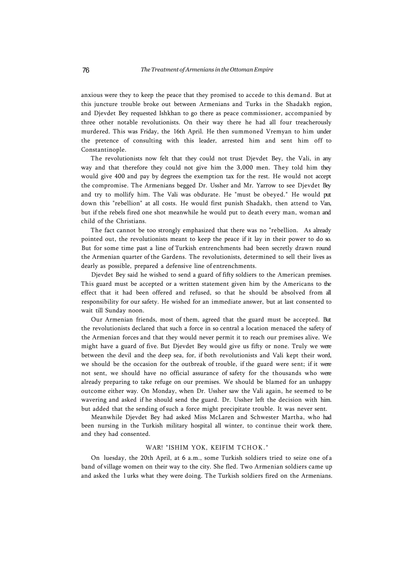anxious were they to keep the peace that they promised to accede to this demand. But at this juncture trouble broke out between Armenians and Turks in the Shadakh region, and Djevdet Bey requested Ishkhan to go there as peace commissioner, accompanied by three other notable revolutionists. On their way there he had all four treacherously murdered. This was Friday, the 16th April. He then summoned Vremyan to him under the pretence of consulting with this leader, arrested him and sent him off to Constantinople.

The revolutionists now felt that they could not trust Djevdet Bey, the Vali, in any way and that therefore they could not give him the 3,000 men. They told him they would give 400 and pay by degrees the exemption tax for the rest. He would not accept the compromise. The Armenians begged Dr. Ussher and Mr. Yarrow to see Djevdet Bey and try to mollify him. The Vali was obdurate. He "must be obeyed." He would put down this "rebellion" at all costs. He would first punish Shadakh, then attend to Van, but if the rebels fired one shot meanwhile he would put to death every man, woman and child of the Christians.

The fact cannot be too strongly emphasized that there was no "rebellion. As already pointed out, the revolutionists meant to keep the peace if it lay in their power to do so. But for some time past a line of Turkish entrenchments had been secretly drawn round the Armenian quarter of the Gardens. The revolutionists, determined to sell their lives as dearly as possible, prepared a defensive line of entrenchments.

Djevdet Bey said he wished to send a guard of fifty soldiers to the American premises. This guard must be accepted or a written statement given him by the Americans to the effect that it had been offered and refused, so that he should be absolved from all responsibility for our safety. He wished for an immediate answer, but at last consented to wait till Sunday noon.

Our Armenian friends, most of them, agreed that the guard must be accepted. But the revolutionists declared that such a force in so central a location menaced the safety of the Armenian forces and that they would never permit it to reach our premises alive. We might have a guard of five. But Djevdet Bey would give us fifty or none. Truly we were between the devil and the deep sea, for, if both revolutionists and Vali kept their word, we should be the occasion for the outbreak of trouble, if the guard were sent; if it were not sent, we should have no official assurance of safety for the thousands who were already preparing to take refuge on our premises. We should be blamed for an unhappy outcome either way. On Monday, when Dr. Ussher saw the Vali again, he seemed to be wavering and asked if he should send the guard. Dr. Ussher left the decision with him. but added that the sending of such a force might precipitate trouble. It was never sent.

Meanwhile Djevdet Bey had asked Miss McLaren and Schwester Martha, who had been nursing in the Turkish military hospital all winter, to continue their work there, and they had consented.

# WAR! "ISHIM YOK, KEIFIM TCHOK."

On luesday, the 20th April, at 6 a.m., some Turkish soldiers tried to seize one of a band of village women on their way to the city. She fled. Two Armenian soldiers came up and asked the l urks what they were doing. The Turkish soldiers fired on the Armenians.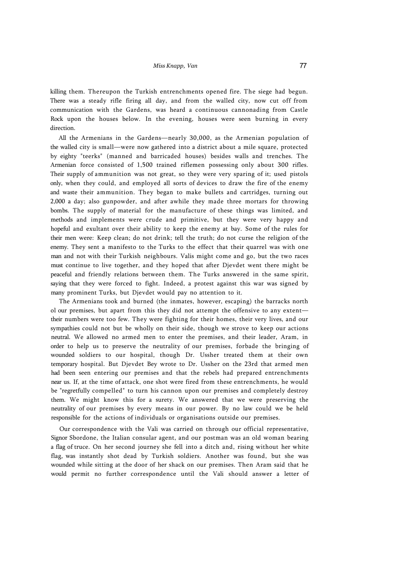killing them. Thereupon the Turkish entrenchments opened fire. The siege had begun. There was a steady rifle firing all day, and from the walled city, now cut off from communication with the Gardens, was heard a continuous cannonading from Castle Rock upon the houses below. In the evening, houses were seen burning in every direction.

All the Armenians in the Gardens—nearly 30,000, as the Armenian population of the walled city is small—were now gathered into a district about a mile square, protected by eighty "teerks" (manned and barricaded houses) besides walls and trenches. The Armenian force consisted of 1,500 trained riflemen possessing only about 300 rifles. Their supply of ammunition was not great, so they were very sparing of it; used pistols only, when they could, and employed all sorts of devices to draw the fire of the enemy and waste their ammunition. They began to make bullets and cartridges, turning out 2,000 a day; also gunpowder, and after awhile they made three mortars for throwing bombs. The supply of material for the manufacture of these things was limited, and methods and implements were crude and primitive, but they were very happy and hopeful and exultant over their ability to keep the enemy at bay. Some of the rules for their men were: Keep clean; do not drink; tell the truth; do not curse the religion of the enemy. They sent a manifesto to the Turks to the effect that their quarrel was with one man and not with their Turkish neighbours. Valis might come and go, but the two races must continue to live together, and they hoped that after Djevdet went there might be peaceful and friendly relations between them. The Turks answered in the same spirit, saying that they were forced to fight. Indeed, a protest against this war was signed by many prominent Turks, but Djevdet would pay no attention to it.

The Armenians took and burned (the inmates, however, escaping) the barracks north ol our premises, but apart from this they did not attempt the offensive to any extent their numbers were too few. They were fighting for their homes, their very lives, and our sympathies could not but be wholly on their side, though we strove to keep our actions neutral. We allowed no armed men to enter the premises, and their leader, Aram, in order to help us to preserve the neutrality of our premises, forbade the bringing of wounded soldiers to our hospital, though Dr. Ussher treated them at their own temporary hospital. But Djevdet Bey wrote to Dr. Ussher on the 23rd that armed men had been seen entering our premises and that the rebels had prepared entrenchments near us. If, at the time of attack, one shot were fired from these entrenchments, he would be "regretfully compelled" to turn his cannon upon our premises and completely destroy them. We might know this for a surety. We answered that we were preserving the neutrality of our premises by every means in our power. By no law could we be held responsible for the actions of individuals or organisations outside our premises.

Our correspondence with the Vali was carried on through our official representative, Signor Sbordone, the Italian consular agent, and our postman was an old woman bearing a flag of truce. On her second journey she fell into a ditch and, rising without her white flag, was instantly shot dead by Turkish soldiers. Another was found, but she was wounded while sitting at the door of her shack on our premises. Then Aram said that he would permit no further correspondence until the Vali should answer a letter of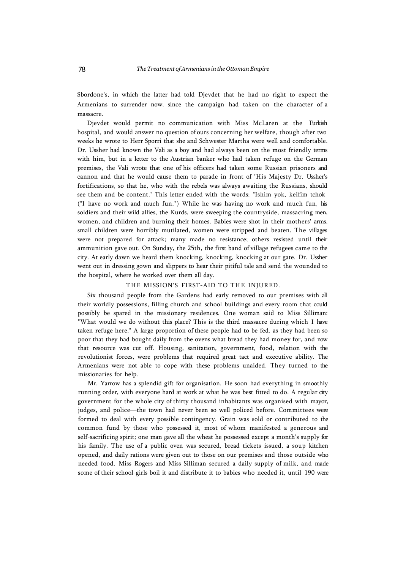Sbordone's, in which the latter had told Djevdet that he had no right to expect the Armenians to surrender now, since the campaign had taken on the character of a massacre.

Djevdet would permit no communication with Miss McLaren at the Turkish hospital, and would answer no question of ours concerning her welfare, though after two weeks he wrote to Herr Sporri that she and Schwester Martha were well and comfortable. Dr. Ussher had known the Vali as a boy and had always been on the most friendly terms with him, but in a letter to the Austrian banker who had taken refuge on the German premises, the Vali wrote that one of his officers had taken some Russian prisoners and cannon and that he would cause them to parade in front of "His Majesty Dr. Ussher's fortifications, so that he, who with the rebels was always awaiting the Russians, should see them and be content." This letter ended with the words: "Ishim yok, keifim tchok ("I have no work and much fun.") While he was having no work and much fun, his soldiers and their wild allies, the Kurds, were sweeping the countryside, massacring men, women, and children and burning their homes. Babies were shot in their mothers' arms, small children were horribly mutilated, women were stripped and beaten. The villages were not prepared for attack; many made no resistance; others resisted until their ammunition gave out. On Sunday, the 25th, the first band of village refugees came to the city. At early dawn we heard them knocking, knocking, knocking at our gate. Dr. Ussher went out in dressing gown and slippers to hear their pitiful tale and send the wounded to the hospital, where he worked over them all day.

### THE MISSION'S FIRST-AID TO THE INJURED.

Six thousand people from the Gardens had early removed to our premises with all their worldly possessions, filling church and school buildings and every room that could possibly be spared in the missionary residences. One woman said to Miss Silliman: "What would we do without this place? This is the third massacre during which I have taken refuge here." A large proportion of these people had to be fed, as they had been so poor that they had bought daily from the ovens what bread they had money for, and now that resource was cut off. Housing, sanitation, government, food, relation with the revolutionist forces, were problems that required great tact and executive ability. The Armenians were not able to cope with these problems unaided. They turned to the missionaries for help.

Mr. Yarrow has a splendid gift for organisation. He soon had everything in smoothly running order, with everyone hard at work at what he was best fitted to do. A regular city government for the whole city of thirty thousand inhabitants was organised with mayor, judges, and police—the town had never been so well policed before. Committees were formed to deal with every possible contingency. Grain was sold or contributed to the common fund by those who possessed it, most of whom manifested a generous and self-sacrificing spirit; one man gave all the wheat he possessed except a month's supply for his family. The use of a public oven was secured, bread tickets issued, a soup kitchen opened, and daily rations were given out to those on our premises and those outside who needed food. Miss Rogers and Miss Silliman secured a daily supply of milk, and made some of their school-girls boil it and distribute it to babies who needed it, until 190 were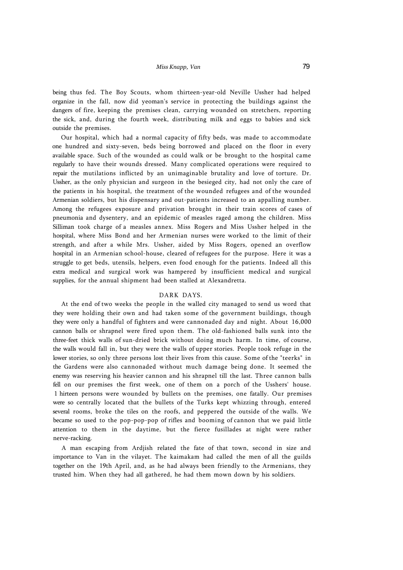being thus fed. The Boy Scouts, whom thirteen-year-old Neville Ussher had helped organize in the fall, now did yeoman's service in protecting the buildings against the dangers of fire, keeping the premises clean, carrying wounded on stretchers, reporting the sick, and, during the fourth week, distributing milk and eggs to babies and sick outside the premises.

Our hospital, which had a normal capacity of fifty beds, was made to accommodate one hundred and sixty-seven, beds being borrowed and placed on the floor in every available space. Such of the wounded as could walk or be brought to the hospital came regularly to have their wounds dressed. Many complicated operations were required to repair the mutilations inflicted by an unimaginable brutality and love of torture. Dr. Ussher, as the only physician and surgeon in the besieged city, had not only the care of the patients in his hospital, the treatment of the wounded refugees and of the wounded Armenian soldiers, but his dispensary and out-patients increased to an appalling number. Among the refugees exposure and privation brought in their train scores of cases of pneumonia and dysentery, and an epidemic of measles raged among the children. Miss Silliman took charge of a measles annex. Miss Rogers and Miss Ussher helped in the hospital, where Miss Bond and her Armenian nurses were worked to the limit of their strength, and after a while Mrs. Ussher, aided by Miss Rogers, opened an overflow hospital in an Armenian school-house, cleared of refugees for the purpose. Here it was a struggle to get beds, utensils, helpers, even food enough for the patients. Indeed all this extra medical and surgical work was hampered by insufficient medical and surgical supplies, for the annual shipment had been stalled at Alexandretta.

# DARK DAYS.

At the end of two weeks the people in the walled city managed to send us word that they were holding their own and had taken some of the government buildings, though they were only a handful of fighters and were cannonaded day and night. About 16,000 cannon balls or shrapnel were fired upon them. The old-fashioned balls sunk into the three-feet thick walls of sun-dried brick without doing much harm. In time, of course, the walls would fall in, but they were the walls of upper stories. People took refuge in the lower stories, so only three persons lost their lives from this cause. Some of the "teerks" in the Gardens were also cannonaded without much damage being done. It seemed the enemy was reserving his heavier cannon and his shrapnel till the last. Three cannon balls fell on our premises the first week, one of them on a porch of the Usshers' house. 1 hirteen persons were wounded by bullets on the premises, one fatally. Our premises were so centrally located that the bullets of the Turks kept whizzing through, entered several rooms, broke the tiles on the roofs, and peppered the outside of the walls. We became so used to the pop-pop-pop of rifles and booming of cannon that we paid little attention to them in the daytime, but the fierce fusillades at night were rather nerve-racking.

A man escaping from Ardjish related the fate of that town, second in size and importance to Van in the vilayet. The kaimakam had called the men of all the guilds together on the 19th April, and, as he had always been friendly to the Armenians, they trusted him. When they had all gathered, he had them mown down by his soldiers.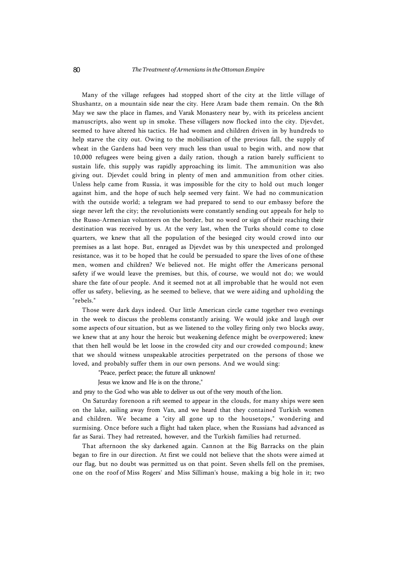Many of the village refugees had stopped short of the city at the little village of Shushantz, on a mountain side near the city. Here Aram bade them remain. On the 8th May we saw the place in flames, and Varak Monastery near by, with its priceless ancient manuscripts, also went up in smoke. These villagers now flocked into the city. Djevdet, seemed to have altered his tactics. He had women and children driven in by hundreds to help starve the city out. Owing to the mobilisation of the previous fall, the supply of wheat in the Gardens had been very much less than usual to begin with, and now that 10,000 refugees were being given a daily ration, though a ration barely sufficient to sustain life, this supply was rapidly approaching its limit. The ammunition was also giving out. Djevdet could bring in plenty of men and ammunition from other cities. Unless help came from Russia, it was impossible for the city to hold out much longer against him, and the hope of such help seemed very faint. We had no communication with the outside world; a telegram we had prepared to send to our embassy before the siege never left the city; the revolutionists were constantly sending out appeals for help to the Russo-Armenian volunteers on the border, but no word or sign of their reaching their destination was received by us. At the very last, when the Turks should come to close quarters, we knew that all the population of the besieged city would crowd into our premises as a last hope. But, enraged as Djevdet was by this unexpected and prolonged resistance, was it to be hoped that he could be persuaded to spare the lives of one of these men, women and children? We believed not. He might offer the Americans personal safety if we would leave the premises, but this, of course, we would not do; we would share the fate of our people. And it seemed not at all improbable that he would not even offer us safety, believing, as he seemed to believe, that we were aiding and upholding the "rebels."

Those were dark days indeed. Our little American circle came together two evenings in the week to discuss the problems constantly arising. We would joke and laugh over some aspects of our situation, but as we listened to the volley firing only two blocks away, we knew that at any hour the heroic but weakening defence might be overpowered; knew that then hell would be let loose in the crowded city and our crowded compound; knew that we should witness unspeakable atrocities perpetrated on the persons of those we loved, and probably suffer them in our own persons. And we would sing:

"Peace, perfect peace; the future all unknown!

Jesus we know and He is on the throne,"

and pray to the God who was able to deliver us out of the very mouth of the lion.

On Saturday forenoon a rift seemed to appear in the clouds, for many ships were seen on the lake, sailing away from Van, and we heard that they contained Turkish women and children. We became a "city all gone up to the housetops," wondering and surmising. Once before such a flight had taken place, when the Russians had advanced as far as Sarai. They had retreated, however, and the Turkish families had returned.

That afternoon the sky darkened again. Cannon at the Big Barracks on the plain began to fire in our direction. At first we could not believe that the shots were aimed at our flag, but no doubt was permitted us on that point. Seven shells fell on the premises, one on the roof of Miss Rogers' and Miss Silliman's house, making a big hole in it; two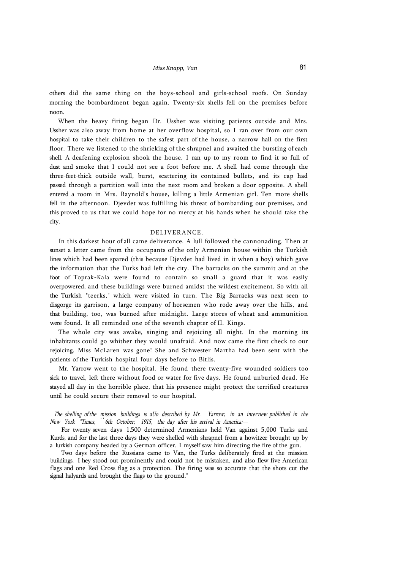others did the same thing on the boys-school and girls-school roofs. On Sunday morning the bombardment began again. Twenty-six shells fell on the premises before noon.

When the heavy firing began Dr. Ussher was visiting patients outside and Mrs. Ussher was also away from home at her overflow hospital, so I ran over from our own hospital to take their children to the safest part of the house, a narrow hall on the first floor. There we listened to the shrieking of the shrapnel and awaited the bursting of each shell. A deafening explosion shook the house. I ran up to my room to find it so full of dust and smoke that I could not see a foot before me. A shell had come through the three-feet-thick outside wall, burst, scattering its contained bullets, and its cap had passed through a partition wall into the next room and broken a door opposite. A shell entered a room in Mrs. Raynold's house, killing a little Armenian girl. Ten more shells fell in the afternoon. Djevdet was fulfilling his threat of bombarding our premises, and this proved to us that we could hope for no mercy at his hands when he should take the city.

#### DELIVERANCE.

In this darkest hour of all came deliverance. A lull followed the cannonading. Then at sunset a letter came from the occupants of the only Armenian house within the Turkish lines which had been spared (this because Djevdet had lived in it when a boy) which gave the information that the Turks had left the city. The barracks on the summit and at the foot of Toprak-Kala were found to contain so small a guard that it was easily overpowered, and these buildings were burned amidst the wildest excitement. So with all the Turkish "teerks," which were visited in turn. The Big Barracks was next seen to disgorge its garrison, a large company of horsemen who rode away over the hills, and that building, too, was burned after midnight. Large stores of wheat and ammunition were found. It all reminded one of the seventh chapter of II. Kings.

The whole city was awake, singing and rejoicing all night. In the morning its inhabitants could go whither they would unafraid. And now came the first check to our rejoicing. Miss McLaren was gone! She and Schwester Martha had been sent with the patients of the Turkish hospital four days before to Bitlis.

Mr. Yarrow went to the hospital. He found there twenty-five wounded soldiers too sick to travel, left there without food or water for five days. He found unburied dead. He stayed all day in the horrible place, that his presence might protect the terrified creatures until he could secure their removal to our hospital.

*The shelling of the mission buildings is aUo described by Mr. Yarrow; in an interview published in the New York "Times, ՝ ՝ 6th October; 1915, the day after his arrival in America:—* 

For twenty-seven days 1,500 determined Armenians held Van against 5,000 Turks and Kurds, and for the last three days they were shelled with shrapnel from a howitzer brought up by a lurkish company headed by a German officer. I myself saw him directing the fire of the gun.

Two days before the Russians came to Van, the Turks deliberately fired at the mission buildings. I hey stood out prominently and could not be mistaken, and also flew five American flags and one Red Cross flag as a protection. The firing was so accurate that the shots cut the signal halyards and brought the flags to the ground."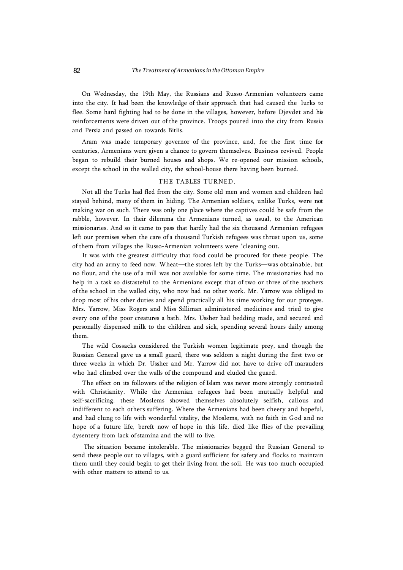On Wednesday, the 19th May, the Russians and Russo-Armenian volunteers came into the city. It had been the knowledge of their approach that had caused the lurks to flee. Some hard fighting had to be done in the villages, however, before Djevdet and his reinforcements were driven out of the province. Troops poured into the city from Russia and Persia and passed on towards Bitlis.

Aram was made temporary governor of the province, and, for the first time for centuries, Armenians were given a chance to govern themselves. Business revived. People began to rebuild their burned houses and shops. We re-opened our mission schools, except the school in the walled city, the school-house there having been burned.

# THE TABLES TURNED.

Not all the Turks had fled from the city. Some old men and women and children had stayed behind, many of them in hiding. The Armenian soldiers, unlike Turks, were not making war on such. There was only one place where the captives could be safe from the rabble, however. In their dilemma the Armenians turned, as usual, to the American missionaries. And so it came to pass that hardly had the six thousand Armenian refugees left our premises when the care of a thousand Turkish refugees was thrust upon us, some of them from villages the Russo-Armenian volunteers were "cleaning out.

It was with the greatest difficulty that food could be procured for these people. The city had an army to feed now. Wheat—the stores left by the Turks—was obtainable, but no flour, and the use of a mill was not available for some time. The missionaries had no help in a task so distasteful to the Armenians except that of two or three of the teachers of the school in the walled city, who now had no other work. Mr. Yarrow was obliged to drop most of his other duties and spend practically all his time working for our proteges. Mrs. Yarrow, Miss Rogers and Miss Silliman administered medicines and tried to give every one of the poor creatures a bath. Mrs. Ussher had bedding made, and secured and personally dispensed milk to the children and sick, spending several hours daily among them.

The wild Cossacks considered the Turkish women legitimate prey, and though the Russian General gave us a small guard, there was seldom a night during the first two or three weeks in which Dr. Ussher and Mr. Yarrow did not have to drive off marauders who had climbed over the walls of the compound and eluded the guard.

The effect on its followers of the religion of Islam was never more strongly contrasted with Christianity. While the Armenian refugees had been mutually helpful and self-sacrificing, these Moslems showed themselves absolutely selfish, callous and indifferent to each others suffering. Where the Armenians had been cheery and hopeful, and had clung to life with wonderful vitality, the Moslems, with no faith in God and no hope of a future life, bereft now of hope in this life, died like flies of the prevailing dysentery from lack of stamina and the will to live.

The situation became intolerable. The missionaries begged the Russian General to send these people out to villages, with a guard sufficient for safety and flocks to maintain them until they could begin to get their living from the soil. He was too much occupied with other matters to attend to us.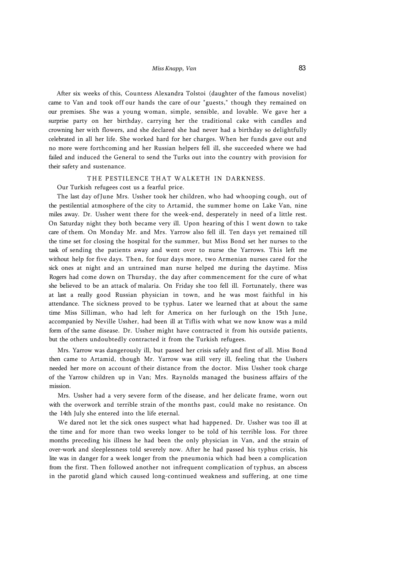After six weeks of this, Countess Alexandra Tolstoi (daughter of the famous novelist) came to Van and took off our hands the care of our "guests," though they remained on our premises. She was a young woman, simple, sensible, and lovable. We gave her a surprise party on her birthday, carrying her the traditional cake with candles and crowning her with flowers, and she declared she had never had a birthday so delightfully celebrated in all her life. She worked hard for her charges. When her funds gave out and no more were forthcoming and her Russian helpers fell ill, she succeeded where we had failed and induced the General to send the Turks out into the country with provision for their safety and sustenance.

### THE PESTILENCE THAT WALKETH IN DARKNESS.

Our Turkish refugees cost us a fearful price.

The last day of June Mrs. Ussher took her children, who had whooping cough, out of the pestilential atmosphere of the city to Artamid, the summer home on Lake Van, nine miles away. Dr. Ussher went there for the week-end, desperately in need of a little rest. On Saturday night they both became very ill. Upon hearing of this I went down to take care of them. On Monday Mr. and Mrs. Yarrow also fell ill. Ten days yet remained till the time set for closing the hospital for the summer, but Miss Bond set her nurses to the task of sending the patients away and went over to nurse the Yarrows. This left me without help for five days. Then, for four days more, two Armenian nurses cared for the sick ones at night and an untrained man nurse helped me during the daytime. Miss Rogers had come down on Thursday, the day after commencement for the cure of what she believed to be an attack of malaria. On Friday she too fell ill. Fortunately, there was at last a really good Russian physician in town, and he was most faithful in his attendance. The sickness proved to be typhus. Later we learned that at about the same time Miss Silliman, who had left for America on her furlough on the 15th June, accompanied by Neville Ussher, had been ill at Tiflis with what we now know was a mild form of the same disease. Dr. Ussher might have contracted it from his outside patients, but the others undoubtedly contracted it from the Turkish refugees.

Mrs. Yarrow was dangerously ill, but passed her crisis safely and first of all. Miss Bond then came to Artamid, though Mr. Yarrow was still very ill, feeling that the Usshers needed her more on account of their distance from the doctor. Miss Ussher took charge of the Yarrow children up in Van; Mrs. Raynolds managed the business affairs of the mission.

Mrs. Ussher had a very severe form of the disease, and her delicate frame, worn out with the overwork and terrible strain of the months past, could make no resistance. On the 14th July she entered into the life eternal.

We dared not let the sick ones suspect what had happened. Dr. Ussher was too ill at the time and for more than two weeks longer to be told of his terrible loss. For three months preceding his illness he had been the only physician in Van, and the strain of over-work and sleeplessness told severely now. After he had passed his typhus crisis, his lite was in danger for a week longer from the pneumonia which had been a complication from the first. Then followed another not infrequent complication of typhus, an abscess in the parotid gland which caused long-continued weakness and suffering, at one time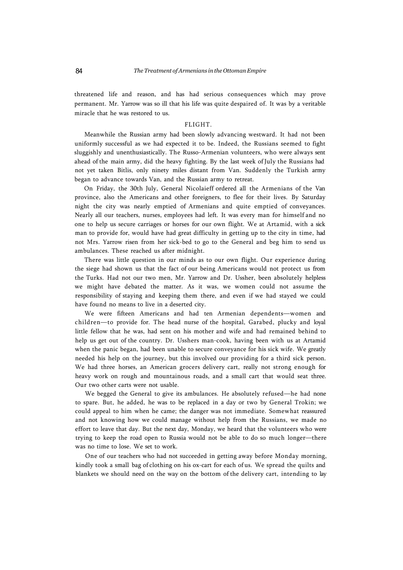threatened life and reason, and has had serious consequences which may prove permanent. Mr. Yarrow was so ill that his life was quite despaired of. It was by a veritable miracle that he was restored to us.

### FLIGHT.

Meanwhile the Russian army had been slowly advancing westward. It had not been uniformly successful as we had expected it to be. Indeed, the Russians seemed to fight sluggishly and unenthusiastically. The Russo-Armenian volunteers, who were always sent ahead of the main army, did the heavy fighting. By the last week of July the Russians had not yet taken Bitlis, only ninety miles distant from Van. Suddenly the Turkish army began to advance towards Van, and the Russian army to retreat.

On Friday, the 30th July, General Nicolaieff ordered all the Armenians of the Van province, also the Americans and other foreigners, to flee for their lives. By Saturday night the city was nearly emptied of Armenians and quite emptied of conveyances. Nearly all our teachers, nurses, employees had left. It was every man for himself and no one to help us secure carriages or horses for our own flight. We at Artamid, with a sick man to provide for, would have had great difficulty in getting up to the city in time, had not Mrs. Yarrow risen from her sick-bed to go to the General and beg him to send us ambulances. These reached us after midnight.

There was little question in our minds as to our own flight. Our experience during the siege had shown us that the fact of our being Americans would not protect us from the Turks. Had not our two men, Mr. Yarrow and Dr. Ussher, been absolutely helpless we might have debated the matter. As it was, we women could not assume the responsibility of staying and keeping them there, and even if we had stayed we could have found no means to live in a deserted city.

We were fifteen Americans and had ten Armenian dependents—women and children—to provide for. The head nurse of the hospital, Garabed, plucky and loyal little fellow that he was, had sent on his mother and wife and had remained behind to help us get out of the country. Dr. Usshers man-cook, having been with us at Artamid when the panic began, had been unable to secure conveyance for his sick wife. We greatly needed his help on the journey, but this involved our providing for a third sick person. We had three horses, an American grocers delivery cart, really not strong enough for heavy work on rough and mountainous roads, and a small cart that would seat three. Our two other carts were not usable.

We begged the General to give its ambulances. He absolutely refused—he had none to spare. But, he added, he was to be replaced in a day or two by General Trokin; we could appeal to him when he came; the danger was not immediate. Somewhat reassured and not knowing how we could manage without help from the Russians, we made no effort to leave that day. But the next day, Monday, we heard that the volunteers who were trying to keep the road open to Russia would not be able to do so much longer—there was no time to lose. We set to work.

One of our teachers who had not succeeded in getting away before Monday morning, kindly took a small bag of clothing on his ox-cart for each of us. We spread the quilts and blankets we should need on the way on the bottom of the delivery cart, intending to lay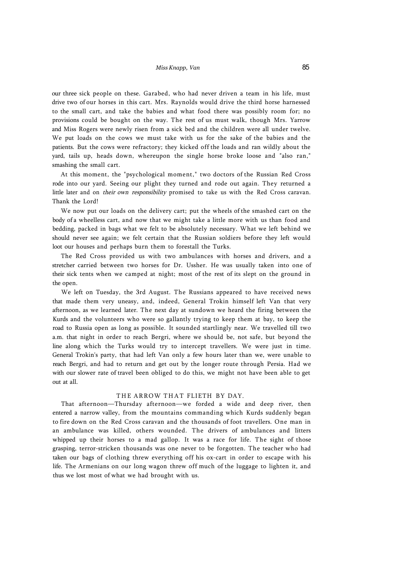our three sick people on these. Garabed, who had never driven a team in his life, must drive two of our horses in this cart. Mrs. Raynolds would drive the third horse harnessed to the small cart, and take the babies and what food there was possibly room for; no provisions could be bought on the way. The rest of us must walk, though Mrs. Yarrow and Miss Rogers were newly risen from a sick bed and the children were all under twelve. We put loads on the cows we must take with us for the sake of the babies and the patients. But the cows were refractory; they kicked off the loads and ran wildly about the yard, tails up, heads down, whereupon the single horse broke loose and "also ran," smashing the small cart.

At this moment, the "psychological moment," two doctors of the Russian Red Cross rode into our yard. Seeing our plight they turned and rode out again. They returned a little later and on *their own responsibility* promised to take us with the Red Cross caravan. Thank the Lord!

We now put our loads on the delivery cart; put the wheels of the smashed cart on the body of a wheelless cart, and now that we might take a little more with us than food and bedding, packed in bags what we felt to be absolutely necessary. What we left behind we should never see again; we felt certain that the Russian soldiers before they left would loot our houses and perhaps burn them to forestall the Turks.

The Red Cross provided us with two ambulances with horses and drivers, and a stretcher carried between two horses for Dr. Ussher. He was usually taken into one of their sick tents when we camped at night; most of the rest of its slept on the ground in the open.

We left on Tuesday, the 3rd August. The Russians appeared to have received news that made them very uneasy, and, indeed, General Trokin himself left Van that very afternoon, as we learned later. The next day at sundown we heard the firing between the Kurds and the volunteers who were so gallantly trying to keep them at bay, to keep the road to Russia open as long as possible. It sounded startlingly near. We travelled till two a.m. that night in order to reach Bergri, where we should be, not safe, but beyond the line along which the Turks would try to intercept travellers. We were just in time. General Trokin's party, that had left Van only a few hours later than we, were unable to reach Bergri, and had to return and get out by the longer route through Persia. Had we with our slower rate of travel been obliged to do this, we might not have been able to get out at all.

# THE ARROW THAT FLIETH BY DAY.

That afternoon—Thursday afternoon—we forded a wide and deep river, then entered a narrow valley, from the mountains commanding which Kurds suddenly began to fire down on the Red Cross caravan and the thousands of foot travellers. One man in an ambulance was killed, others wounded. The drivers of ambulances and litters whipped up their horses to a mad gallop. It was a race for life. The sight of those grasping, terror-stricken thousands was one never to be forgotten. The teacher who had taken our bags of clothing threw everything off his ox-cart in order to escape with his life. The Armenians on our long wagon threw off much of the luggage to lighten it, and thus we lost most of what we had brought with us.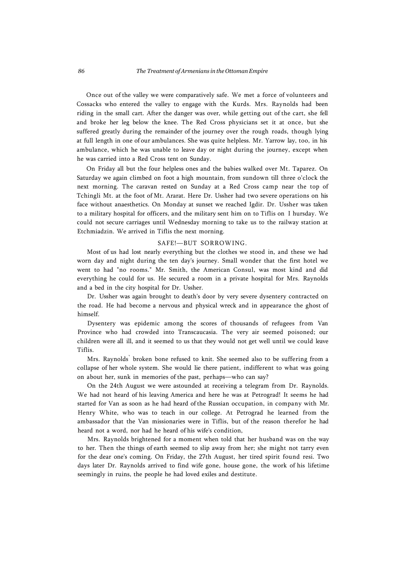Once out of the valley we were comparatively safe. We met a force of volunteers and Cossacks who entered the valley to engage with the Kurds. Mrs. Raynolds had been riding in the small cart. After the danger was over, while getting out of the cart, she fell and broke her leg below the knee. The Red Cross physicians set it at once, but she suffered greatly during the remainder of the journey over the rough roads, though lying at full length in one of our ambulances. She was quite helpless. Mr. Yarrow lay, too, in his ambulance, which he was unable to leave day or night during the journey, except when he was carried into a Red Cross tent on Sunday.

On Friday all but the four helpless ones and the babies walked over Mt. Taparez. On Saturday we again climbed on foot a high mountain, from sundown till three o'clock the next morning. The caravan rested on Sunday at a Red Cross camp near the top of Tchingli Mt. at the foot of Mt. Ararat. Here Dr. Ussher had two severe operations on his face without anaesthetics. On Monday at sunset we reached Igdir. Dr. Ussher was taken to a military hospital for officers, and the military sent him on to Tiflis on I hursday. We could not secure carriages until Wednesday morning to take us to the railway station at Etchmiadzin. We arrived in Tiflis the next morning.

### SAFE!—BUT SORROWING.

Most of us had lost nearly everything but the clothes we stood in, and these we had worn day and night during the ten day's journey. Small wonder that the first hotel we went to had "no rooms." Mr. Smith, the American Consul, was most kind and did everything he could for us. He secured a room in a private hospital for Mrs. Raynolds and a bed in the city hospital for Dr. Ussher.

Dr. Ussher was again brought to death's door by very severe dysentery contracted on the road. He had become a nervous and physical wreck and in appearance the ghost of himself.

Dysentery was epidemic among the scores of thousands of refugees from Van Province who had crowded into Transcaucasia. The very air seemed poisoned; our children were all ill, and it seemed to us that they would not get well until we could leave Tiflis.

Mrs. Raynolds՝ broken bone refused to knit. She seemed also to be suffering from a collapse of her whole system. She would lie there patient, indifferent to what was going on about her, sunk in memories of the past, perhaps—who can say?

On the 24th August we were astounded at receiving a telegram from Dr. Raynolds. We had not heard of his leaving America and here he was at Petrograd! It seems he had started for Van as soon as he had heard of the Russian occupation, in company with Mr. Henry White, who was to teach in our college. At Petrograd he learned from the ambassador that the Van missionaries were in Tiflis, but of the reason therefor he had heard not a word, nor had he heard of his wife's condition,

Mrs. Raynolds brightened for a moment when told that her husband was on the way to her. Then the things of earth seemed to slip away from her; she might not tarry even for the dear one's coming. On Friday, the 27th August, her tired spirit found resi. Two days later Dr. Raynolds arrived to find wife gone, house gone, the work of his lifetime seemingly in ruins, the people he had loved exiles and destitute.